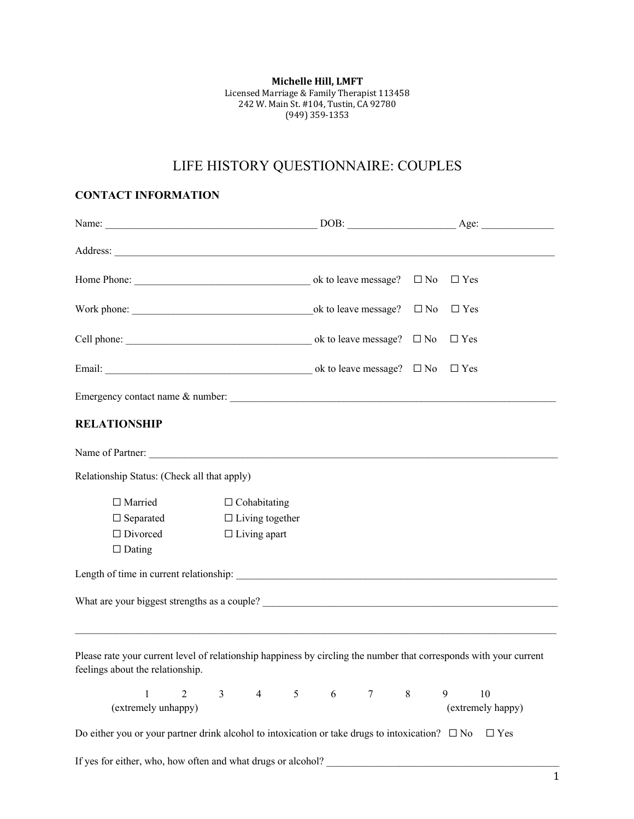**Michelle Hill, LMFT** Licensed Marriage & Family Therapist 113458 242 W. Main St. #104, Tustin, CA 92780 (949) 359-1353

# LIFE HISTORY QUESTIONNAIRE: COUPLES

### **CONTACT INFORMATION**

|                                                                                                                                                        |                |                        |                        |   |            | $DOB:$ Age:       |
|--------------------------------------------------------------------------------------------------------------------------------------------------------|----------------|------------------------|------------------------|---|------------|-------------------|
| Address: <u>New York: Address:</u> New York: 2008                                                                                                      |                |                        |                        |   |            |                   |
|                                                                                                                                                        |                |                        |                        |   | $\Box$ Yes |                   |
|                                                                                                                                                        |                |                        |                        |   | $\Box$ Yes |                   |
|                                                                                                                                                        |                |                        |                        |   | $\Box$ Yes |                   |
|                                                                                                                                                        |                |                        |                        |   | $\Box$ Yes |                   |
|                                                                                                                                                        |                |                        |                        |   |            |                   |
| <b>RELATIONSHIP</b>                                                                                                                                    |                |                        |                        |   |            |                   |
| Name of Partner:                                                                                                                                       |                |                        |                        |   |            |                   |
| Relationship Status: (Check all that apply)                                                                                                            |                |                        |                        |   |            |                   |
| $\Box$ Married                                                                                                                                         |                | $\Box$ Cohabitating    |                        |   |            |                   |
| $\Box$ Separated                                                                                                                                       |                | $\Box$ Living together |                        |   |            |                   |
| $\Box$ Divorced                                                                                                                                        |                | $\Box$ Living apart    |                        |   |            |                   |
| $\Box$ Dating                                                                                                                                          |                |                        |                        |   |            |                   |
|                                                                                                                                                        |                |                        |                        |   |            |                   |
|                                                                                                                                                        |                |                        |                        |   |            |                   |
|                                                                                                                                                        |                |                        |                        |   |            |                   |
| Please rate your current level of relationship happiness by circling the number that corresponds with your current<br>feelings about the relationship. |                |                        |                        |   |            |                   |
| $\mathbf{1}$<br>$\overline{2}$                                                                                                                         | 3 <sup>1</sup> | $4\overline{ }$        | $5 \qquad 6$<br>$\tau$ | 8 | 9          | 10                |
| (extremely unhappy)                                                                                                                                    |                |                        |                        |   |            | (extremely happy) |
| Do either you or your partner drink alcohol to intoxication or take drugs to intoxication? $\Box$ No                                                   |                |                        |                        |   |            | $\Box$ Yes        |
| If yes for either, who, how often and what drugs or alcohol?                                                                                           |                |                        |                        |   |            |                   |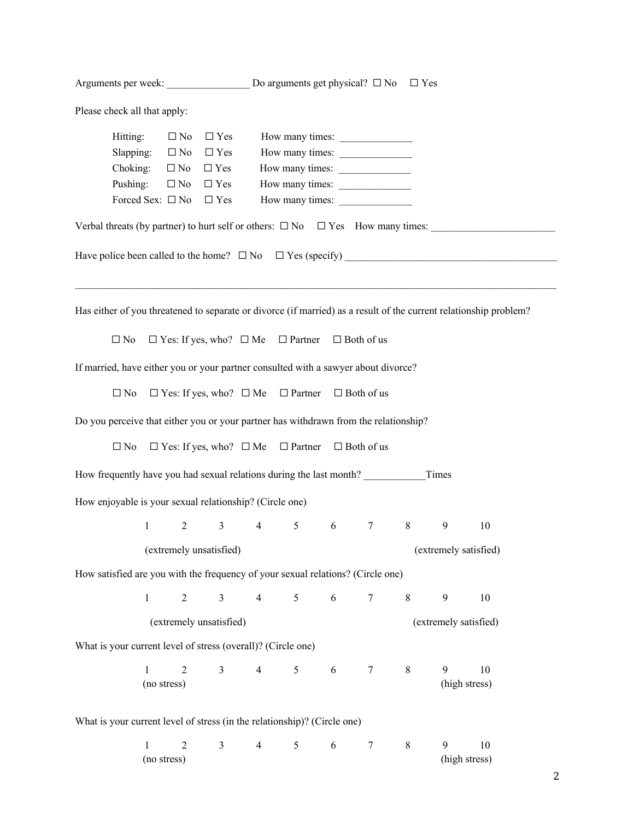Arguments per week:  $\Box$  Do arguments get physical?  $\Box$  No  $\Box$  Yes

Please check all that apply:

|                                                                                                | Hitting:                               | $\Box$ No $\Box$ Yes |  | How many times:                                                           |  |  |  |  |
|------------------------------------------------------------------------------------------------|----------------------------------------|----------------------|--|---------------------------------------------------------------------------|--|--|--|--|
|                                                                                                | Slapping: $\Box$ No $\Box$ Yes         |                      |  | How many times:                                                           |  |  |  |  |
|                                                                                                | Choking: $\Box$ No $\Box$ Yes          |                      |  | How many times:                                                           |  |  |  |  |
|                                                                                                | Pushing: $\Box$ No $\Box$ Yes          |                      |  | How many times:                                                           |  |  |  |  |
|                                                                                                | Forced Sex: $\square$ No $\square$ Yes |                      |  | How many times:                                                           |  |  |  |  |
| Verbal threats (by partner) to hurt self or others: $\square$ No $\square$ Yes How many times: |                                        |                      |  |                                                                           |  |  |  |  |
|                                                                                                |                                        |                      |  | Have police been called to the home? $\square$ No $\square$ Yes (specify) |  |  |  |  |
|                                                                                                |                                        |                      |  |                                                                           |  |  |  |  |
|                                                                                                |                                        |                      |  |                                                                           |  |  |  |  |

Has either of you threatened to separate or divorce (if married) as a result of the current relationship problem?

☐ No ☐ Yes: If yes, who? ☐ Me ☐ Partner ☐ Both of us

If married, have either you or your partner consulted with a sawyer about divorce?

☐ No ☐ Yes: If yes, who? ☐ Me ☐ Partner ☐ Both of us

Do you perceive that either you or your partner has withdrawn from the relationship?

☐ No ☐ Yes: If yes, who? ☐ Me ☐ Partner ☐ Both of us

How frequently have you had sexual relations during the last month? \_\_\_\_\_\_\_\_\_\_\_\_Times

How enjoyable is your sexual relationship? (Circle one)

1 2 3 4 5 6 7 8 9 10

(extremely unsatisfied) (extremely satisfied)

How satisfied are you with the frequency of your sexual relations? (Circle one)

|  |  |  |  | $1$ 2 3 4 5 6 7 8 9 10 |  |
|--|--|--|--|------------------------|--|
|  |  |  |  |                        |  |

(extremely unsatisfied) (extremely satisfied)

What is your current level of stress (overall)? (Circle one)

| (no stress) |  |  |  |  | (high stress) |
|-------------|--|--|--|--|---------------|

What is your current level of stress (in the relationship)? (Circle one)

|             |  |  |  | Q |               |
|-------------|--|--|--|---|---------------|
| (no stress) |  |  |  |   | (high stress) |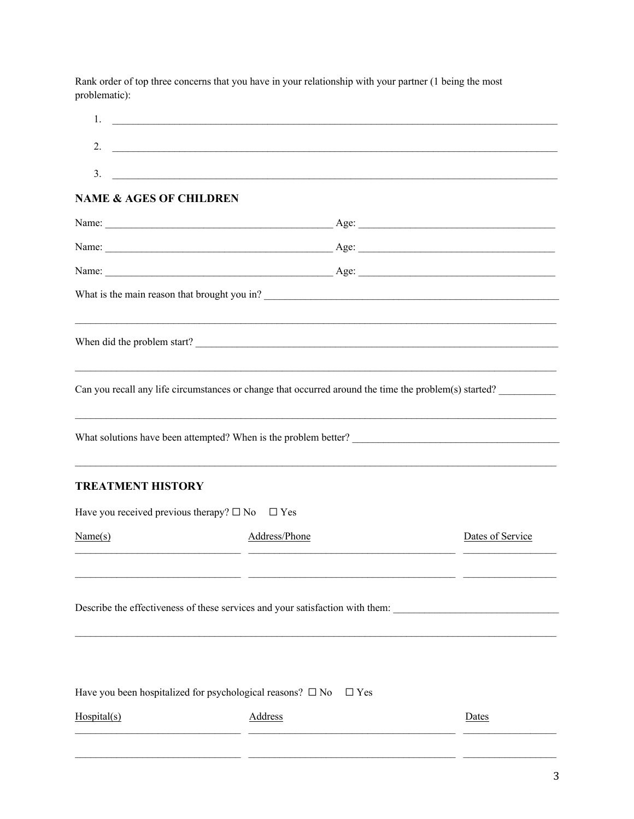Rank order of top three concerns that you have in your relationship with your partner (1 being the most problematic):

| 2.<br>3.<br><u> 1989 - Johann Stoff, amerikansk politiker (d. 1989)</u>                               |                  |
|-------------------------------------------------------------------------------------------------------|------------------|
| <b>NAME &amp; AGES OF CHILDREN</b>                                                                    |                  |
|                                                                                                       |                  |
|                                                                                                       |                  |
|                                                                                                       |                  |
|                                                                                                       |                  |
|                                                                                                       |                  |
|                                                                                                       |                  |
|                                                                                                       |                  |
| Can you recall any life circumstances or change that occurred around the time the problem(s) started? |                  |
|                                                                                                       |                  |
|                                                                                                       |                  |
|                                                                                                       |                  |
|                                                                                                       |                  |
|                                                                                                       |                  |
| ,我们也不能在这里的时候,我们也不能会在这里,我们也不能会在这里的时候,我们也不能会在这里的时候,我们也不能会在这里的时候,我们也不能会在这里的时候,我们也不能                      |                  |
| <b>TREATMENT HISTORY</b>                                                                              |                  |
| Have you received previous therapy? $\square$ No<br>$\Box$ Yes                                        |                  |
| Address/Phone<br>Name(s)                                                                              | Dates of Service |
|                                                                                                       |                  |
| - -                                                                                                   |                  |
| Describe the effectiveness of these services and your satisfaction with them:                         |                  |
|                                                                                                       |                  |
|                                                                                                       |                  |
|                                                                                                       |                  |
| Have you been hospitalized for psychological reasons? $\square$ No<br>$\Box$ Yes                      |                  |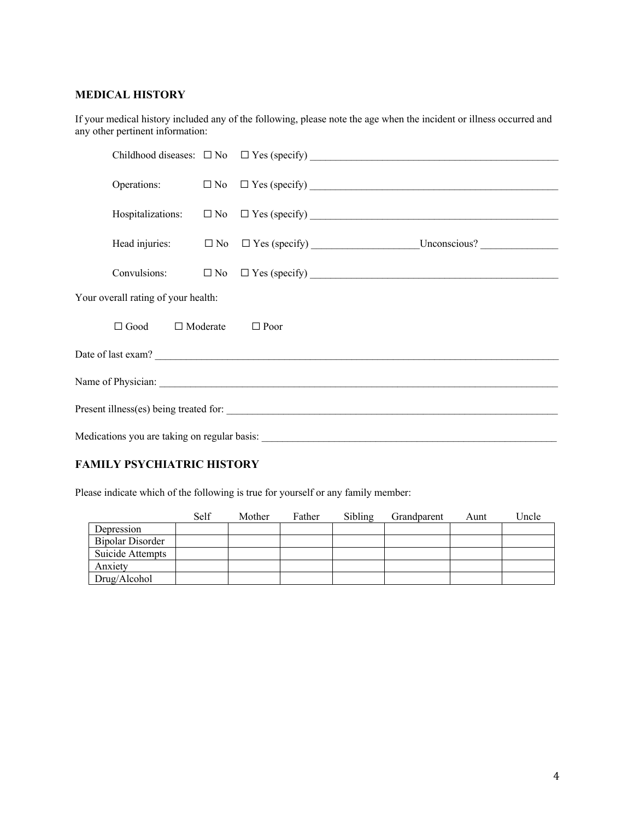#### **MEDICAL HISTORY**

If your medical history included any of the following, please note the age when the incident or illness occurred and any other pertinent information:

| Your overall rating of your health:          |  |                    |
|----------------------------------------------|--|--------------------|
| $\Box$ Good $\Box$ Moderate $\Box$ Poor      |  |                    |
|                                              |  | Date of last exam? |
|                                              |  |                    |
|                                              |  |                    |
| Medications you are taking on regular basis: |  |                    |

### **FAMILY PSYCHIATRIC HISTORY**

Please indicate which of the following is true for yourself or any family member:

|                         | Self | Mother | Father | Sibling | Grandparent | Aunt | Uncle |
|-------------------------|------|--------|--------|---------|-------------|------|-------|
| Depression              |      |        |        |         |             |      |       |
| <b>Bipolar Disorder</b> |      |        |        |         |             |      |       |
| Suicide Attempts        |      |        |        |         |             |      |       |
| Anxiety                 |      |        |        |         |             |      |       |
| Drug/Alcohol            |      |        |        |         |             |      |       |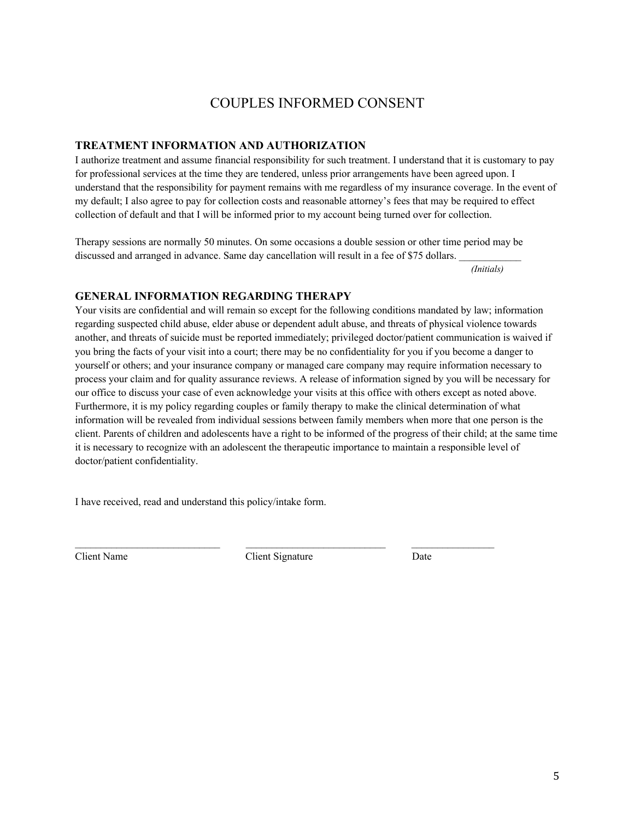## COUPLES INFORMED CONSENT

### **TREATMENT INFORMATION AND AUTHORIZATION**

I authorize treatment and assume financial responsibility for such treatment. I understand that it is customary to pay for professional services at the time they are tendered, unless prior arrangements have been agreed upon. I understand that the responsibility for payment remains with me regardless of my insurance coverage. In the event of my default; I also agree to pay for collection costs and reasonable attorney's fees that may be required to effect collection of default and that I will be informed prior to my account being turned over for collection.

Therapy sessions are normally 50 minutes. On some occasions a double session or other time period may be discussed and arranged in advance. Same day cancellation will result in a fee of \$75 dollars.

 *(Initials)*

#### **GENERAL INFORMATION REGARDING THERAPY**

Your visits are confidential and will remain so except for the following conditions mandated by law; information regarding suspected child abuse, elder abuse or dependent adult abuse, and threats of physical violence towards another, and threats of suicide must be reported immediately; privileged doctor/patient communication is waived if you bring the facts of your visit into a court; there may be no confidentiality for you if you become a danger to yourself or others; and your insurance company or managed care company may require information necessary to process your claim and for quality assurance reviews. A release of information signed by you will be necessary for our office to discuss your case of even acknowledge your visits at this office with others except as noted above. Furthermore, it is my policy regarding couples or family therapy to make the clinical determination of what information will be revealed from individual sessions between family members when more that one person is the client. Parents of children and adolescents have a right to be informed of the progress of their child; at the same time it is necessary to recognize with an adolescent the therapeutic importance to maintain a responsible level of doctor/patient confidentiality.

I have received, read and understand this policy/intake form.

 $\mathcal{L}_\mathcal{L} = \mathcal{L}_\mathcal{L} = \mathcal{L}_\mathcal{L} = \mathcal{L}_\mathcal{L} = \mathcal{L}_\mathcal{L} = \mathcal{L}_\mathcal{L} = \mathcal{L}_\mathcal{L} = \mathcal{L}_\mathcal{L} = \mathcal{L}_\mathcal{L} = \mathcal{L}_\mathcal{L} = \mathcal{L}_\mathcal{L} = \mathcal{L}_\mathcal{L} = \mathcal{L}_\mathcal{L} = \mathcal{L}_\mathcal{L} = \mathcal{L}_\mathcal{L} = \mathcal{L}_\mathcal{L} = \mathcal{L}_\mathcal{L}$ Client Name Client Signature Date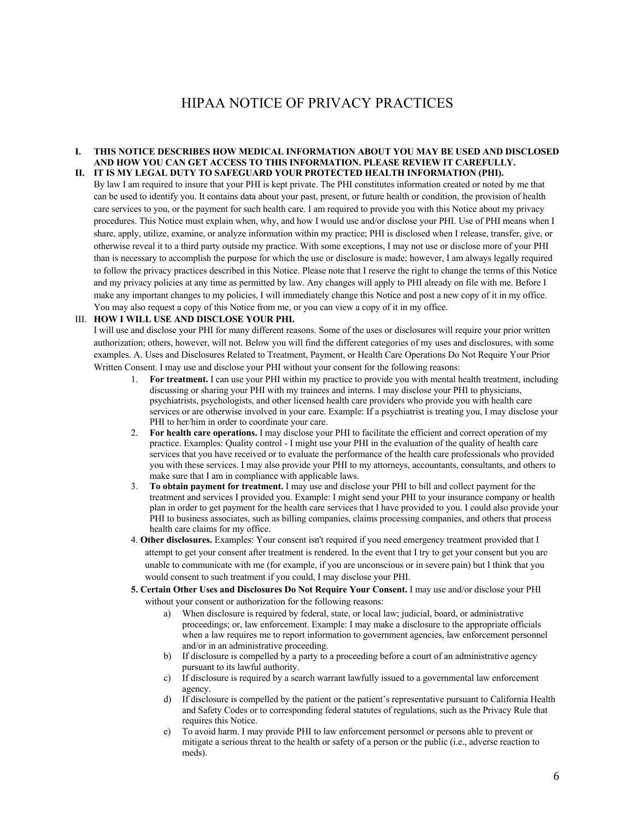## HIPAA NOTICE OF PRIVACY PRACTICES

#### **I. THIS NOTICE DESCRIBES HOW MEDICAL INFORMATION ABOUT YOU MAY BE USED AND DISCLOSED AND HOW YOU CAN GET ACCESS TO THIS INFORMATION. PLEASE REVIEW IT CAREFULLY. II. IT IS MY LEGAL DUTY TO SAFEGUARD YOUR PROTECTED HEALTH INFORMATION (PHI).**

By law I am required to insure that your PHI is kept private. The PHI constitutes information created or noted by me that can be used to identify you. It contains data about your past, present, or future health or condition, the provision of health care services to you, or the payment for such health care. I am required to provide you with this Notice about my privacy procedures. This Notice must explain when, why, and how I would use and/or disclose your PHI. Use of PHI means when I share, apply, utilize, examine, or analyze information within my practice; PHI is disclosed when I release, transfer, give, or otherwise reveal it to a third party outside my practice. With some exceptions, I may not use or disclose more of your PHI than is necessary to accomplish the purpose for which the use or disclosure is made; however, I am always legally required to follow the privacy practices described in this Notice. Please note that I reserve the right to change the terms of this Notice and my privacy policies at any time as permitted by law. Any changes will apply to PHI already on file with me. Before I make any important changes to my policies, I will immediately change this Notice and post a new copy of it in my office. You may also request a copy of this Notice from me, or you can view a copy of it in my office.

#### III. **HOW I WILL USE AND DISCLOSE YOUR PHI.**

I will use and disclose your PHI for many different reasons. Some of the uses or disclosures will require your prior written authorization; others, however, will not. Below you will find the different categories of my uses and disclosures, with some examples. A. Uses and Disclosures Related to Treatment, Payment, or Health Care Operations Do Not Require Your Prior Written Consent. I may use and disclose your PHI without your consent for the following reasons:

- 1. **For treatment.** I can use your PHI within my practice to provide you with mental health treatment, including discussing or sharing your PHI with my trainees and interns. I may disclose your PHI to physicians, psychiatrists, psychologists, and other licensed health care providers who provide you with health care services or are otherwise involved in your care. Example: If a psychiatrist is treating you, I may disclose your PHI to her/him in order to coordinate your care.
- 2. **For health care operations.** I may disclose your PHI to facilitate the efficient and correct operation of my practice. Examples: Quality control - I might use your PHI in the evaluation of the quality of health care services that you have received or to evaluate the performance of the health care professionals who provided you with these services. I may also provide your PHI to my attorneys, accountants, consultants, and others to make sure that I am in compliance with applicable laws.
- 3. **To obtain payment for treatment.** I may use and disclose your PHI to bill and collect payment for the treatment and services I provided you. Example: I might send your PHI to your insurance company or health plan in order to get payment for the health care services that I have provided to you. I could also provide your PHI to business associates, such as billing companies, claims processing companies, and others that process health care claims for my office.
- 4. **Other disclosures.** Examples: Your consent isn't required if you need emergency treatment provided that I attempt to get your consent after treatment is rendered. In the event that I try to get your consent but you are unable to communicate with me (for example, if you are unconscious or in severe pain) but I think that you would consent to such treatment if you could, I may disclose your PHI.
- **5. Certain Other Uses and Disclosures Do Not Require Your Consent.** I may use and/or disclose your PHI without your consent or authorization for the following reasons:
	- a) When disclosure is required by federal, state, or local law; judicial, board, or administrative proceedings; or, law enforcement. Example: I may make a disclosure to the appropriate officials when a law requires me to report information to government agencies, law enforcement personnel and/or in an administrative proceeding.
	- b) If disclosure is compelled by a party to a proceeding before a court of an administrative agency pursuant to its lawful authority.
	- c) If disclosure is required by a search warrant lawfully issued to a governmental law enforcement agency.
	- d) If disclosure is compelled by the patient or the patient's representative pursuant to California Health and Safety Codes or to corresponding federal statutes of regulations, such as the Privacy Rule that requires this Notice.
	- e) To avoid harm. I may provide PHI to law enforcement personnel or persons able to prevent or mitigate a serious threat to the health or safety of a person or the public (i.e., adverse reaction to meds).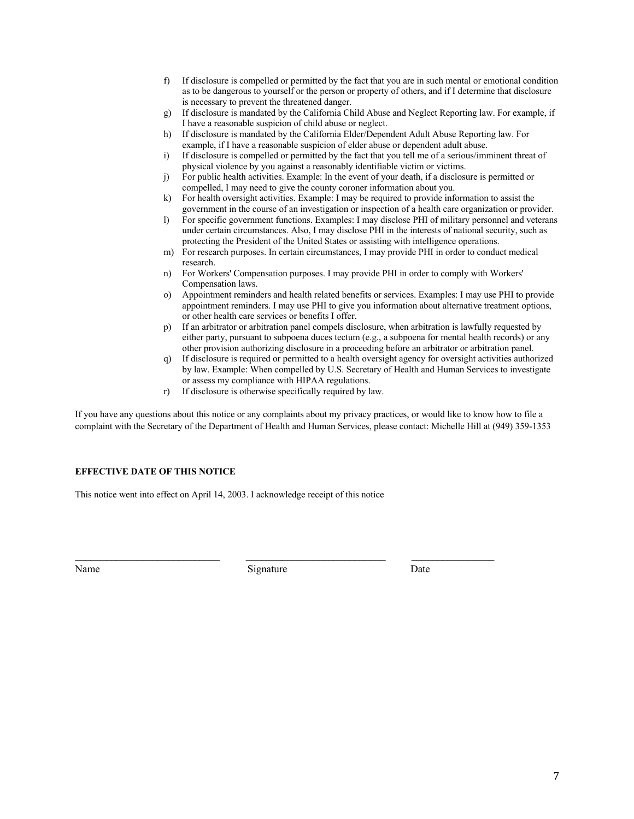- f) If disclosure is compelled or permitted by the fact that you are in such mental or emotional condition as to be dangerous to yourself or the person or property of others, and if I determine that disclosure is necessary to prevent the threatened danger.
- g) If disclosure is mandated by the California Child Abuse and Neglect Reporting law. For example, if I have a reasonable suspicion of child abuse or neglect.
- h) If disclosure is mandated by the California Elder/Dependent Adult Abuse Reporting law. For example, if I have a reasonable suspicion of elder abuse or dependent adult abuse.
- i) If disclosure is compelled or permitted by the fact that you tell me of a serious/imminent threat of physical violence by you against a reasonably identifiable victim or victims.
- j) For public health activities. Example: In the event of your death, if a disclosure is permitted or compelled, I may need to give the county coroner information about you.
- k) For health oversight activities. Example: I may be required to provide information to assist the government in the course of an investigation or inspection of a health care organization or provider.
- l) For specific government functions. Examples: I may disclose PHI of military personnel and veterans under certain circumstances. Also, I may disclose PHI in the interests of national security, such as protecting the President of the United States or assisting with intelligence operations.
- m) For research purposes. In certain circumstances, I may provide PHI in order to conduct medical research.
- n) For Workers' Compensation purposes. I may provide PHI in order to comply with Workers' Compensation laws.
- o) Appointment reminders and health related benefits or services. Examples: I may use PHI to provide appointment reminders. I may use PHI to give you information about alternative treatment options, or other health care services or benefits I offer.
- p) If an arbitrator or arbitration panel compels disclosure, when arbitration is lawfully requested by either party, pursuant to subpoena duces tectum (e.g., a subpoena for mental health records) or any other provision authorizing disclosure in a proceeding before an arbitrator or arbitration panel.
- q) If disclosure is required or permitted to a health oversight agency for oversight activities authorized by law. Example: When compelled by U.S. Secretary of Health and Human Services to investigate or assess my compliance with HIPAA regulations.
- r) If disclosure is otherwise specifically required by law.

If you have any questions about this notice or any complaints about my privacy practices, or would like to know how to file a complaint with the Secretary of the Department of Health and Human Services, please contact: Michelle Hill at (949) 359-1353

#### **EFFECTIVE DATE OF THIS NOTICE**

This notice went into effect on April 14, 2003. I acknowledge receipt of this notice

Name Signature Date